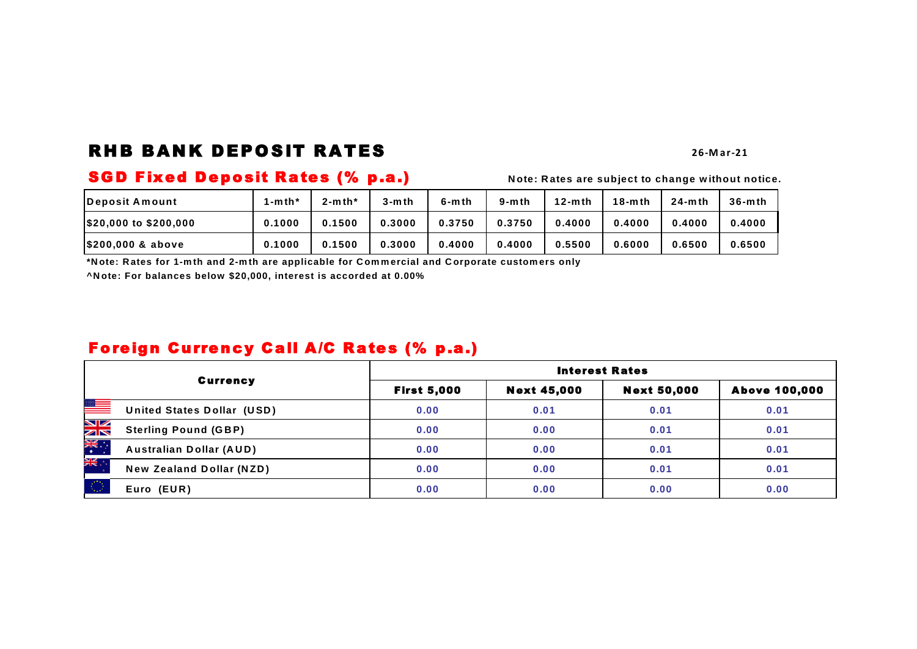# RHB BANK DEPOSIT RATES

### **26 -M a r -21**

# **SGD Fixed Deposit Rates (% p.a.)** Note: Rates are subject to change without notice.

| lDeposit Amount       | $1-mth'$ | $2-$ mth* | 3-m th | $6-$ mth | $9-$ mth | $12-mth$ | $18-$ mth | $24-mth$ | $36-$ mth |
|-----------------------|----------|-----------|--------|----------|----------|----------|-----------|----------|-----------|
| \$20,000 to \$200,000 | 0.1000   | 0.1500    | 0.3000 | 0.3750   | 0.3750   | 0.4000   | 0.4000    | 0.4000   | 0.4000    |
| \$200,000 & above     | 0.1000   | 0.1500    | 0.3000 | 0.4000   | 0.4000   | 0.5500   | 0.6000    | 0.6500   | 0.6500    |

**\*N ote: R ates for 1-m th and 2-m th are applicable for C om m ercial and C orporate custom ers only**

**^N ote: For balances below \$20,000, interest is accorded at 0.00%**

# Foreign Currency Call A/C Rates (% p.a.)

|                |                                   | <b>Interest Rates</b> |                    |                    |                      |  |  |  |  |
|----------------|-----------------------------------|-----------------------|--------------------|--------------------|----------------------|--|--|--|--|
|                | <b>Currency</b>                   | <b>First 5,000</b>    | <b>Next 45,000</b> | <b>Next 50,000</b> | <b>Above 100,000</b> |  |  |  |  |
| ▓              | <b>United States Dollar (USD)</b> | 0.00                  | 0.01               | 0.01               | 0.01                 |  |  |  |  |
| NK<br>AR       | <b>Sterling Pound (GBP)</b>       | 0.00                  | 0.00               | 0.01               | 0.01                 |  |  |  |  |
| <b>AK</b><br>* | <b>Australian Dollar (AUD)</b>    | 0.00                  | 0.00               | 0.01               | 0.01                 |  |  |  |  |
| ÷, ≱k          | <b>New Zealand Dollar (NZD)</b>   | 0.00                  | 0.00               | 0.01               | 0.01                 |  |  |  |  |
| -60            | Euro (EUR)                        | 0.00                  | 0.00               | 0.00               | 0.00                 |  |  |  |  |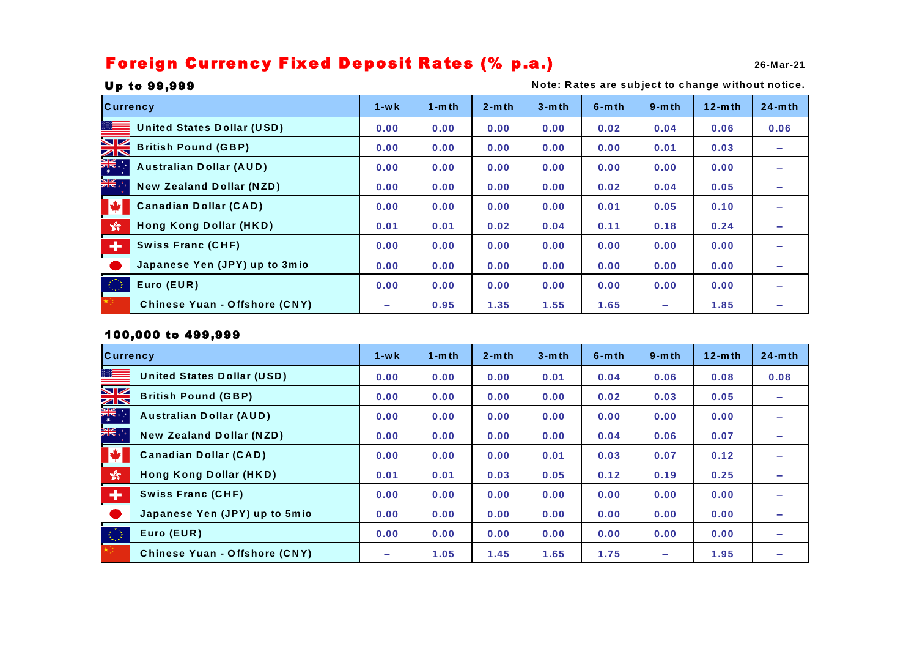# Foreign Currency Fixed Deposit Rates (% p.a.)

| <b>Currency</b>              |                                      | $1 - w k$ | $1 - m$ th | $2-$ mth | $3-$ mth | $6-$ mth | $9-$ mth   | $12-mth$ | $24-mth$ |
|------------------------------|--------------------------------------|-----------|------------|----------|----------|----------|------------|----------|----------|
| ≋≡                           | <b>United States Dollar (USD)</b>    | 0.00      | 0.00       | 0.00     | 0.00     | 0.02     | 0.04       | 0.06     | 0.06     |
|                              | <b>British Pound (GBP)</b>           | 0.00      | 0.00       | 0.00     | 0.00     | 0.00     | 0.01       | 0.03     |          |
|                              | <b>Australian Dollar (AUD)</b>       | 0.00      | 0.00       | 0.00     | 0.00     | 0.00     | 0.00       | 0.00     |          |
| ", <mark>深</mark>            | <b>New Zealand Dollar (NZD)</b>      | 0.00      | 0.00       | 0.00     | 0.00     | 0.02     | 0.04       | 0.05     |          |
| N.                           | <b>Canadian Dollar (CAD)</b>         | 0.00      | 0.00       | 0.00     | 0.00     | 0.01     | 0.05       | 0.10     |          |
| $\frac{\sqrt{3}}{2\sqrt{3}}$ | Hong Kong Dollar (HKD)               | 0.01      | 0.01       | 0.02     | 0.04     | 0.11     | 0.18       | 0.24     |          |
| $\ddot{\phantom{1}}$         | <b>Swiss Franc (CHF)</b>             | 0.00      | 0.00       | 0.00     | 0.00     | 0.00     | 0.00       | 0.00     |          |
|                              | Japanese Yen (JPY) up to 3mio        | 0.00      | 0.00       | 0.00     | 0.00     | 0.00     | 0.00       | 0.00     |          |
| $\langle \hat{z} \rangle$    | Euro (EUR)                           | 0.00      | 0.00       | 0.00     | 0.00     | 0.00     | 0.00       | 0.00     |          |
|                              | <b>Chinese Yuan - Offshore (CNY)</b> | $\sim$    | 0.95       | 1.35     | 1.55     | 1.65     | <b>COL</b> | 1.85     |          |

## Up to 99,999

## **N ote: R ates are subject to change w ithout notice.**

## 100,000 to 499,999

| <b>Currency</b>             |                                      | $1 - w k$ | $1- m th$ | $2-$ mth | $3-$ mth | $6-$ mth | $9-$ mth | $12-mth$ | $24-mth$   |
|-----------------------------|--------------------------------------|-----------|-----------|----------|----------|----------|----------|----------|------------|
|                             | <b>United States Dollar (USD)</b>    | 0.00      | 0.00      | 0.00     | 0.01     | 0.04     | 0.06     | 0.08     | 0.08       |
| $\frac{N}{2}$               | <b>British Pound (GBP)</b>           | 0.00      | 0.00      | 0.00     | 0.00     | 0.02     | 0.03     | 0.05     |            |
|                             | <b>Australian Dollar (AUD)</b>       | 0.00      | 0.00      | 0.00     | 0.00     | 0.00     | 0.00     | 0.00     | $\sim$     |
| "。<br>美                     | <b>New Zealand Dollar (NZD)</b>      | 0.00      | 0.00      | 0.00     | 0.00     | 0.04     | 0.06     | 0.07     |            |
| <b>M</b>                    | <b>Canadian Dollar (CAD)</b>         | 0.00      | 0.00      | 0.00     | 0.01     | 0.03     | 0.07     | 0.12     |            |
| $\mathcal{L}_{\mathcal{B}}$ | Hong Kong Dollar (HKD)               | 0.01      | 0.01      | 0.03     | 0.05     | 0.12     | 0.19     | 0.25     |            |
| $\bullet$                   | <b>Swiss Franc (CHF)</b>             | 0.00      | 0.00      | 0.00     | 0.00     | 0.00     | 0.00     | 0.00     |            |
|                             | Japanese Yen (JPY) up to 5mio        | 0.00      | 0.00      | 0.00     | 0.00     | 0.00     | 0.00     | 0.00     | $\sim$     |
| 稳                           | Euro (EUR)                           | 0.00      | 0.00      | 0.00     | 0.00     | 0.00     | 0.00     | 0.00     | <b>COL</b> |
|                             | <b>Chinese Yuan - Offshore (CNY)</b> | $\sim$    | 1.05      | 1.45     | 1.65     | 1.75     | ÷        | 1.95     |            |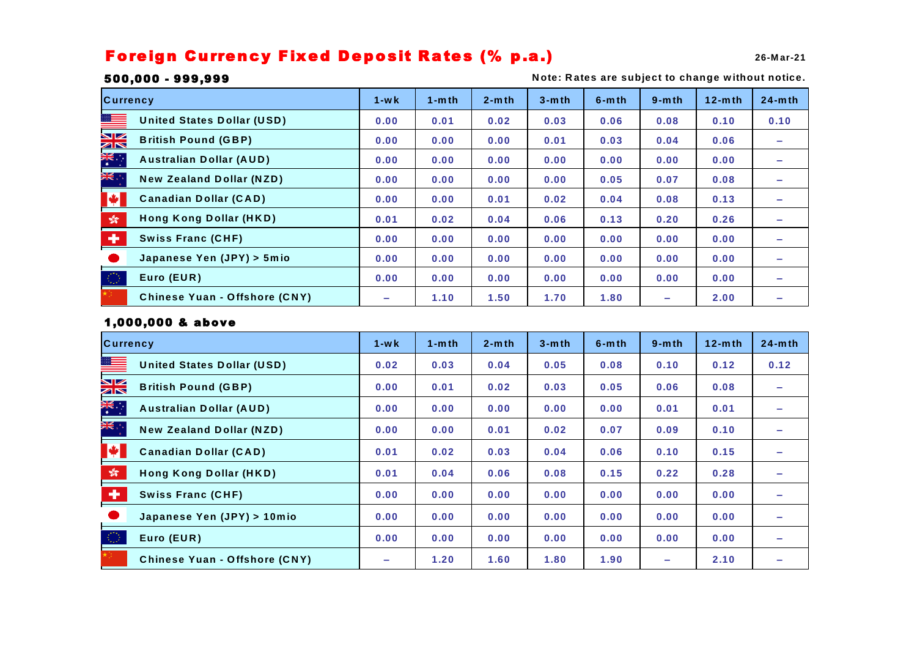# Foreign Currency Fixed Deposit Rates (% p.a.)

**26-M ar-21**

## 500,000 - 999,999

**N ote: R ates are subject to change w ithout notice.**

| <b>Currency</b>                                        | $1 - w k$   | $1 - m$ th | $2-mth$ | $3-$ mth | $6-$ mth | $9-$ mth | $12- m th$ | $24-mth$ |
|--------------------------------------------------------|-------------|------------|---------|----------|----------|----------|------------|----------|
| ▓▆▅▅<br><b>United States Dollar (USD)</b>              | 0.00        | 0.01       | 0.02    | 0.03     | 0.06     | 0.08     | 0.10       | 0.10     |
| <u>NK</u><br><b>British Pound (GBP)</b>                | 0.00        | 0.00       | 0.00    | 0.01     | 0.03     | 0.04     | 0.06       |          |
| <b>Australian Dollar (AUD)</b>                         | 0.00        | 0.00       | 0.00    | 0.00     | 0.00     | 0.00     | 0.00       |          |
| ", <mark>兴</mark> 天<br><b>New Zealand Dollar (NZD)</b> | 0.00        | 0.00       | 0.00    | 0.00     | 0.05     | 0.07     | 0.08       |          |
| $\blacktriangleright$<br><b>Canadian Dollar (CAD)</b>  | 0.00        | 0.00       | 0.01    | 0.02     | 0.04     | 0.08     | 0.13       |          |
| $\frac{\sqrt{3}}{2\sqrt{3}}$<br>Hong Kong Dollar (HKD) | 0.01        | 0.02       | 0.04    | 0.06     | 0.13     | 0.20     | 0.26       |          |
| ÷<br><b>Swiss Franc (CHF)</b>                          | 0.00        | 0.00       | 0.00    | 0.00     | 0.00     | 0.00     | 0.00       |          |
| Japanese Yen (JPY) > 5mio                              | 0.00        | 0.00       | 0.00    | 0.00     | 0.00     | 0.00     | 0.00       |          |
| 40<br>Euro (EUR)                                       | 0.00        | 0.00       | 0.00    | 0.00     | 0.00     | 0.00     | 0.00       |          |
| <b>Chinese Yuan - Offshore (CNY)</b>                   | <b>STAR</b> | 1.10       | 1.50    | 1.70     | 1.80     | -        | 2.00       |          |

## 1,000,000 & above

| <b>Currency</b>                                         |                                      | $1 - wk$ | $1-$ mth | $2 - m th$ | $3-$ mth | $6-$ mth | $9-$ mth | $12-mth$ | $24-mth$ |
|---------------------------------------------------------|--------------------------------------|----------|----------|------------|----------|----------|----------|----------|----------|
|                                                         | <b>United States Dollar (USD)</b>    | 0.02     | 0.03     | 0.04       | 0.05     | 0.08     | 0.10     | 0.12     | 0.12     |
| $\frac{N}{N}$                                           | <b>British Pound (GBP)</b>           | 0.00     | 0.01     | 0.02       | 0.03     | 0.05     | 0.06     | 0.08     |          |
| ्रें                                                    | <b>Australian Dollar (AUD)</b>       | 0.00     | 0.00     | 0.00       | 0.00     | 0.00     | 0.01     | 0.01     |          |
| ان <mark>کالا</mark>                                    | <b>New Zealand Dollar (NZD)</b>      | 0.00     | 0.00     | 0.01       | 0.02     | 0.07     | 0.09     | 0.10     |          |
| M                                                       | <b>Canadian Dollar (CAD)</b>         | 0.01     | 0.02     | 0.03       | 0.04     | 0.06     | 0.10     | 0.15     |          |
| $\mathcal{L}_{\mathcal{B}}^{\mathcal{G}_{\mathcal{B}}}$ | Hong Kong Dollar (HKD)               | 0.01     | 0.04     | 0.06       | 0.08     | 0.15     | 0.22     | 0.28     |          |
| ÷                                                       | <b>Swiss Franc (CHF)</b>             | 0.00     | 0.00     | 0.00       | 0.00     | 0.00     | 0.00     | 0.00     |          |
|                                                         | Japanese Yen (JPY) > 10mio           | 0.00     | 0.00     | 0.00       | 0.00     | 0.00     | 0.00     | 0.00     |          |
| 30                                                      | Euro (EUR)                           | 0.00     | 0.00     | 0.00       | 0.00     | 0.00     | 0.00     | 0.00     |          |
|                                                         | <b>Chinese Yuan - Offshore (CNY)</b> | ÷        | 1.20     | 1.60       | 1.80     | 1.90     | $\sim$   | 2.10     |          |